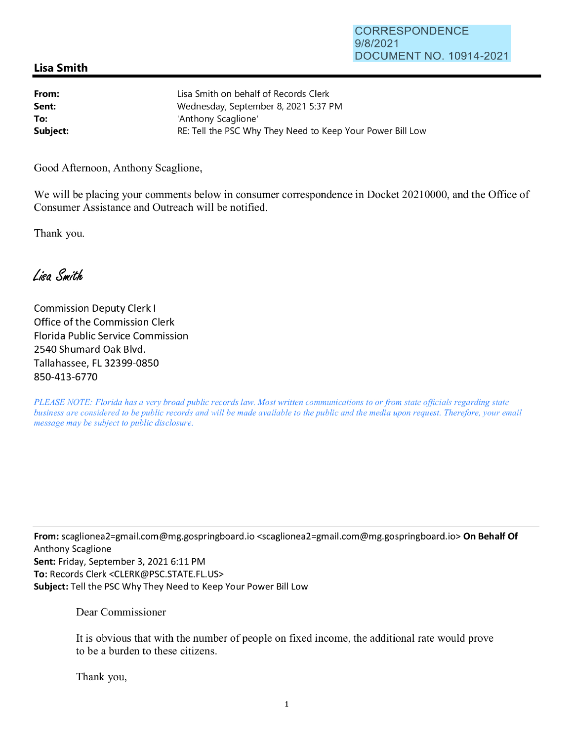## **Lisa Smith**

| From:    | Lisa Smith on behalf of Records Clerk                      |
|----------|------------------------------------------------------------|
| Sent:    | Wednesday, September 8, 2021 5:37 PM                       |
| To:      | 'Anthony Scaglione'                                        |
| Subject: | RE: Tell the PSC Why They Need to Keep Your Power Bill Low |

Good Afternoon, Anthony Scaglione,

We will be placing your comments below in consumer correspondence in Docket 20210000, and the Office of Consumer Assistance and Outreach will be notified.

Thank you.

Lisa Smith

Commission Deputy Clerk I Office of the Commission Clerk Florida Public Service Commission 2540 Shumard Oak Blvd. Tallahassee, FL 32399-0850 850-413-6770

*PLEASE NOTE: Florida has a very broad public records law. Most written communications to or from state officials regarding state business are considered to be public records and will be made available to the public and the media upon request. Therefore, your email message may be subject to public disclosure.* 

**From:** scag1ionea2=gmai1.com@mg.gospringboard.io <scag1ionea2=gmai1.com@mg.gospringboard.io> **On Behalf Of**  Anthony Scaglione **Sent:** Friday, September 3, 2021 6:11 PM **To:** Records Clerk <CLERK@PSC.STATE.FL.US> **Subject:** Tell the PSC Why They Need to Keep Your Power Bill Low

Dear Commissioner

It is obvious that with the number of people on fixed income, the additional rate would prove to be a burden to these citizens.

Thank you,